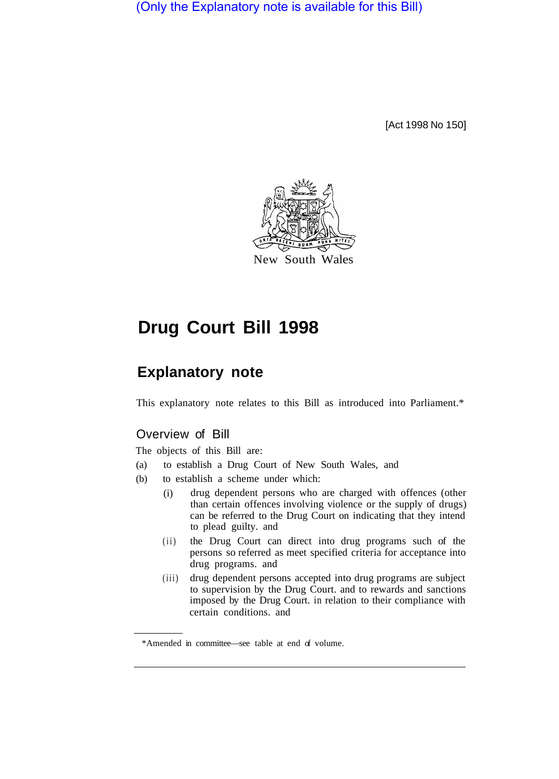(Only the Explanatory note is available for this Bill)

[Act 1998 No 150]



# **Drug Court Bill 1998**

## **Explanatory note**

This explanatory note relates to this Bill as introduced into Parliament.\*

## Overview of Bill

The objects of this Bill are:

- (a) to establish a Drug Court of New South Wales, and
- (b) to establish a scheme under which:
	- (i) drug dependent persons who are charged with offences (other than certain offences involving violence or the supply of drugs) can be referred to the Drug Court on indicating that they intend to plead guilty. and
	- (ii) the Drug Court can direct into drug programs such of the persons so referred as meet specified criteria for acceptance into drug programs. and
	- $(iii)$ drug dependent persons accepted into drug programs are subject to supervision by the Drug Court. and to rewards and sanctions imposed by the Drug Court. in relation to their compliance with certain conditions. and

<sup>\*</sup>Amended in committee—see table at end of volume.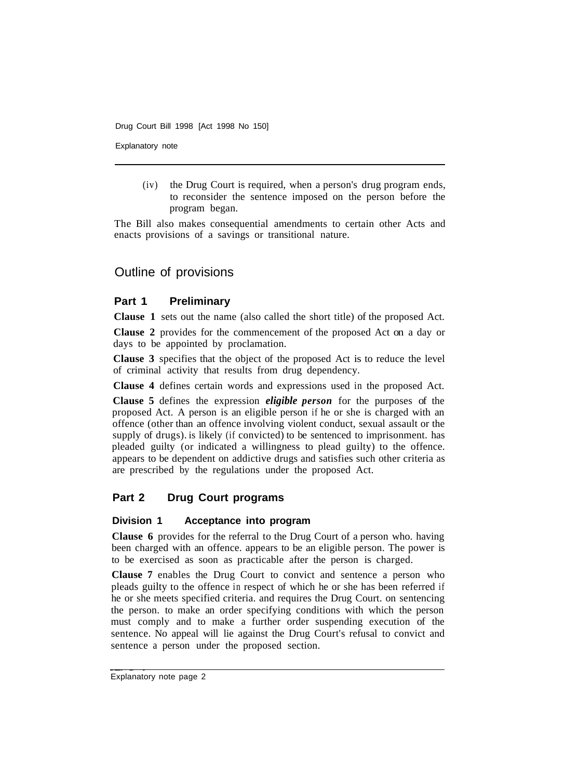Explanatory note

(iv) the Drug Court is required, when a person's drug program ends, to reconsider the sentence imposed on the person before the program began.

The Bill also makes consequential amendments to certain other Acts and enacts provisions of a savings or transitional nature.

## Outline of provisions

#### **Part 1 Preliminary**

**Clause 1** sets out the name (also called the short title) of the proposed Act.

**Clause 2** provides for the commencement of the proposed Act on a day or days to be appointed by proclamation.

**Clause 3** specifies that the object of the proposed Act is to reduce the level of criminal activity that results from drug dependency.

**Clause 4** defines certain words and expressions used in the proposed Act.

**Clause 5** defines the expression *eligible person* for the purposes of the proposed Act. A person is an eligible person if he or she is charged with an offence (other than an offence involving violent conduct, sexual assault or the supply of drugs). is likely (if convicted) to be sentenced to imprisonment. has pleaded guilty (or indicated a willingness to plead guilty) to the offence. appears to be dependent on addictive drugs and satisfies such other criteria as are prescribed by the regulations under the proposed Act.

### **Part 2 Drug Court programs**

#### **Division 1 Acceptance into program**

**Clause 6** provides for the referral to the Drug Court of a person who. having been charged with an offence. appears to be an eligible person. The power is to be exercised as soon as practicable after the person is charged.

**Clause 7** enables the Drug Court to convict and sentence a person who pleads guilty to the offence in respect of which he or she has been referred if he or she meets specified criteria. and requires the Drug Court. on sentencing the person. to make an order specifying conditions with which the person must comply and to make a further order suspending execution of the sentence. No appeal will lie against the Drug Court's refusal to convict and sentence a person under the proposed section.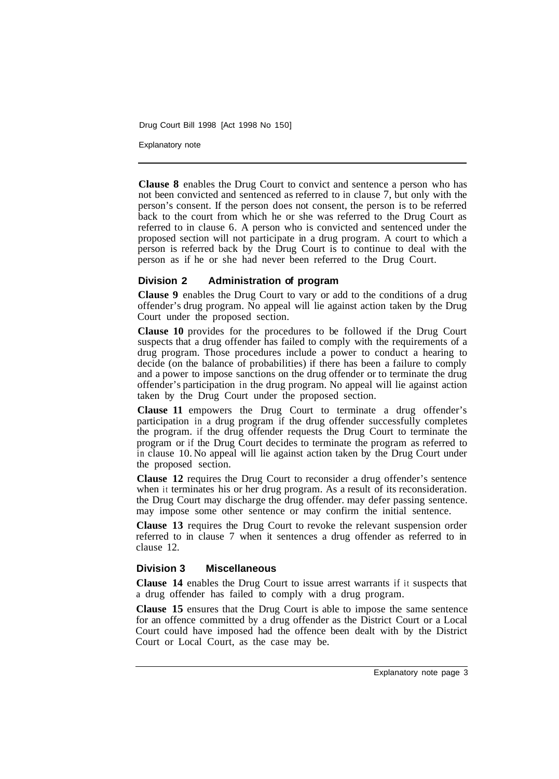Explanatory note

**Clause 8** enables the Drug Court to convict and sentence a person who has not been convicted and sentenced as referred to in clause 7, but only with the person's consent. If the person does not consent, the person is to be referred back to the court from which he or she was referred to the Drug Court as referred to in clause 6. A person who is convicted and sentenced under the proposed section will not participate in a drug program. A court to which a person is referred back by the Drug Court is to continue to deal with the person as if he or she had never been referred to the Drug Court.

#### **Division 2 Administration of program**

**Clause 9** enables the Drug Court to vary or add to the conditions of a drug offender's drug program. No appeal will lie against action taken by the Drug Court under the proposed section.

**Clause 10** provides for the procedures to be followed if the Drug Court suspects that a drug offender has failed to comply with the requirements of a drug program. Those procedures include a power to conduct a hearing to decide (on the balance of probabilities) if there has been a failure to comply and a power to impose sanctions on the drug offender or to terminate the drug offender's participation in the drug program. No appeal will lie against action taken by the Drug Court under the proposed section.

**Clause 11** empowers the Drug Court to terminate a drug offender's participation in a drug program if the drug offender successfully completes the program. if the drug offender requests the Drug Court to terminate the program or if the Drug Court decides to terminate the program as referred to in clause 10. No appeal will lie against action taken by the Drug Court under the proposed section.

**Clause 12** requires the Drug Court to reconsider a drug offender's sentence when it terminates his or her drug program. As a result of its reconsideration. the Drug Court may discharge the drug offender. may defer passing sentence. may impose some other sentence or may confirm the initial sentence.

**Clause 13** requires the Drug Court to revoke the relevant suspension order referred to in clause 7 when it sentences a drug offender as referred to in clause 12.

#### **Division 3 Miscellaneous**

**Clause 14** enables the Drug Court to issue arrest warrants if it suspects that a drug offender has failed to comply with a drug program.

**Clause 15** ensures that the Drug Court is able to impose the same sentence for an offence committed by a drug offender as the District Court or a Local Court could have imposed had the offence been dealt with by the District Court or Local Court, as the case may be.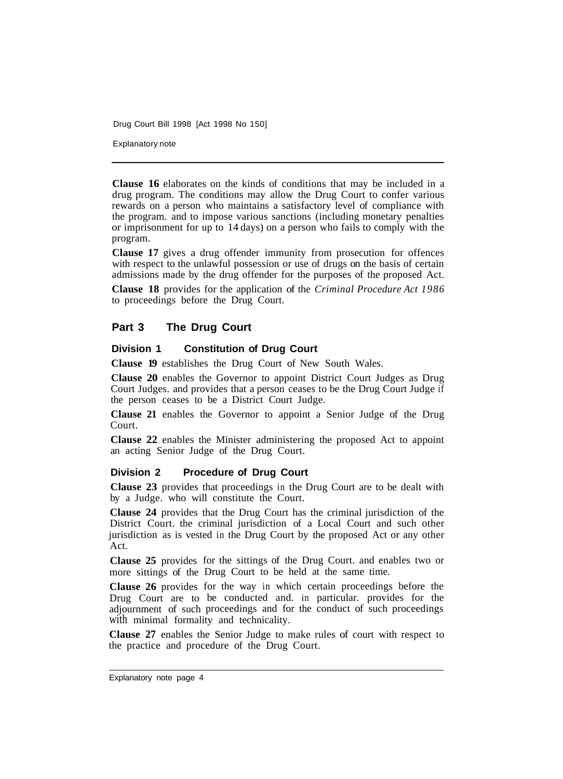Explanatory note

**Clause 16** elaborates on the kinds of conditions that may be included in a drug program. The conditions may allow the Drug Court to confer various rewards on a person who maintains a satisfactory level of compliance with the program. and to impose various sanctions (including monetary penalties or imprisonment for up to 14 days) on a person who fails to comply with the program.

**Clause 17** gives a drug offender immunity from prosecution for offences with respect to the unlawful possession or use of drugs on the basis of certain admissions made by the drug offender for the purposes of the proposed Act.

**Clause 18** provides for the application of the *Criminal Procedure Act 1986*  to proceedings before the Drug Court.

#### **Part 3 The Drug Court**

#### **Division 1 Constitution of Drug Court**

**Clause 19** establishes the Drug Court of New South Wales.

**Clause 20** enables the Governor to appoint District Court Judges as Drug Court Judges. and provides that a person ceases to be the Drug Court Judge if the person ceases to be a District Court Judge.

**Clause 21** enables the Governor to appoint a Senior Judge of the Drug Court.

**Clause 22** enables the Minister administering the proposed Act to appoint an acting Senior Judge of the Drug Court.

#### **Division 2 Procedure of Drug Court**

**Clause 23** provides that proceedings in the Drug Court are to be dealt with by a Judge. who will constitute the Court.

**Clause 24** provides that the Drug Court has the criminal jurisdiction of the District Court. the criminal jurisdiction of a Local Court and such other jurisdiction as is vested in the Drug Court by the proposed Act or any other Act.

**Clause 25** provides for the sittings of the Drug Court. and enables two or more sittings of the Drug Court to be held at the same time.

**Clause 26** provides for the way in which certain proceedings before the Drug Court are to be conducted and. in particular. provides for the adjournment of such proceedings and for the conduct of such proceedings with minimal formality and technicality.

**Clause 27** enables the Senior Judge to make rules of court with respect to the practice and procedure of the Drug Court.